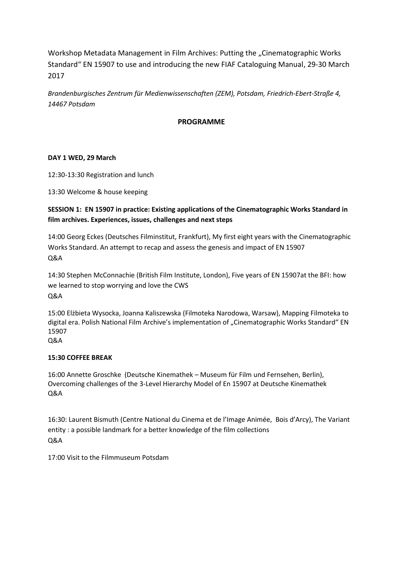Workshop Metadata Management in Film Archives: Putting the "Cinematographic Works Standard" EN 15907 to use and introducing the new FIAF Cataloguing Manual, 29-30 March 2017

*Brandenburgisches Zentrum für Medienwissenschaften (ZEM), Potsdam, Friedrich-Ebert-Straße 4, 14467 Potsdam*

### **PROGRAMME**

#### **DAY 1 WED, 29 March**

12:30-13:30 Registration and lunch

13:30 Welcome & house keeping

# **SESSION 1: EN 15907 in practice: Existing applications of the Cinematographic Works Standard in film archives. Experiences, issues, challenges and next steps**

14:00 Georg Eckes (Deutsches Filminstitut, Frankfurt), My first eight years with the Cinematographic Works Standard. An attempt to recap and assess the genesis and impact of EN 15907 Q&A

14:30 Stephen McConnachie (British Film Institute, London), Five years of EN 15907at the BFI: how we learned to stop worrying and love the CWS Q&A

15:00 Elżbieta Wysocka, Joanna Kaliszewska (Filmoteka Narodowa, Warsaw), Mapping Filmoteka to digital era. Polish National Film Archive's implementation of "Cinematographic Works Standard" EN 15907

Q&A

# **15:30 COFFEE BREAK**

16:00 Annette Groschke (Deutsche Kinemathek – Museum für Film und Fernsehen, Berlin), Overcoming challenges of the 3-Level Hierarchy Model of En 15907 at Deutsche Kinemathek Q&A

16:30: Laurent Bismuth (Centre National du Cinema et de l'Image Animée, Bois d'Arcy), The Variant entity : a possible landmark for a better knowledge of the film collections Q&A

17:00 Visit to the Filmmuseum Potsdam